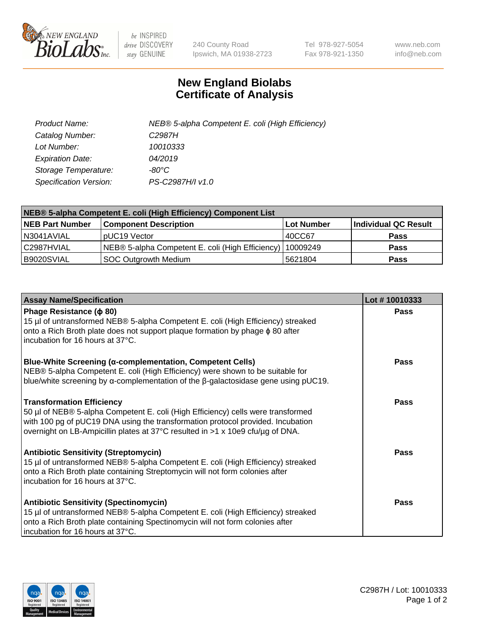

 $be$  INSPIRED drive DISCOVERY stay GENUINE

240 County Road Ipswich, MA 01938-2723 Tel 978-927-5054 Fax 978-921-1350 www.neb.com info@neb.com

## **New England Biolabs Certificate of Analysis**

| Product Name:           | NEB® 5-alpha Competent E. coli (High Efficiency) |
|-------------------------|--------------------------------------------------|
| Catalog Number:         | C <sub>2987</sub> H                              |
| Lot Number:             | 10010333                                         |
| <b>Expiration Date:</b> | 04/2019                                          |
| Storage Temperature:    | -80°C                                            |
| Specification Version:  | PS-C2987H/I v1.0                                 |

| NEB® 5-alpha Competent E. coli (High Efficiency) Component List |                                                  |            |                      |  |
|-----------------------------------------------------------------|--------------------------------------------------|------------|----------------------|--|
| <b>NEB Part Number</b>                                          | <b>Component Description</b>                     | Lot Number | Individual QC Result |  |
| N3041AVIAL                                                      | pUC19 Vector                                     | 40CC67     | <b>Pass</b>          |  |
| C2987HVIAL                                                      | NEB® 5-alpha Competent E. coli (High Efficiency) | 10009249   | <b>Pass</b>          |  |
| B9020SVIAL                                                      | <b>SOC Outgrowth Medium</b>                      | 5621804    | <b>Pass</b>          |  |

| <b>Assay Name/Specification</b>                                                                                                                                                                                                                                                           | Lot #10010333 |
|-------------------------------------------------------------------------------------------------------------------------------------------------------------------------------------------------------------------------------------------------------------------------------------------|---------------|
| Phage Resistance ( $\phi$ 80)<br>15 µl of untransformed NEB® 5-alpha Competent E. coli (High Efficiency) streaked<br>onto a Rich Broth plate does not support plaque formation by phage φ 80 after<br>incubation for 16 hours at 37°C.                                                    | Pass          |
| <b>Blue-White Screening (α-complementation, Competent Cells)</b><br>NEB® 5-alpha Competent E. coli (High Efficiency) were shown to be suitable for<br>blue/white screening by $\alpha$ -complementation of the $\beta$ -galactosidase gene using pUC19.                                   | Pass          |
| <b>Transformation Efficiency</b><br>50 µl of NEB® 5-alpha Competent E. coli (High Efficiency) cells were transformed<br>with 100 pg of pUC19 DNA using the transformation protocol provided. Incubation<br>overnight on LB-Ampicillin plates at 37°C resulted in >1 x 10e9 cfu/µg of DNA. | Pass          |
| <b>Antibiotic Sensitivity (Streptomycin)</b><br>15 µl of untransformed NEB® 5-alpha Competent E. coli (High Efficiency) streaked<br>onto a Rich Broth plate containing Streptomycin will not form colonies after<br>incubation for 16 hours at 37°C.                                      | Pass          |
| Antibiotic Sensitivity (Spectinomycin)<br>15 µl of untransformed NEB® 5-alpha Competent E. coli (High Efficiency) streaked<br>onto a Rich Broth plate containing Spectinomycin will not form colonies after<br>incubation for 16 hours at 37°C.                                           | Pass          |